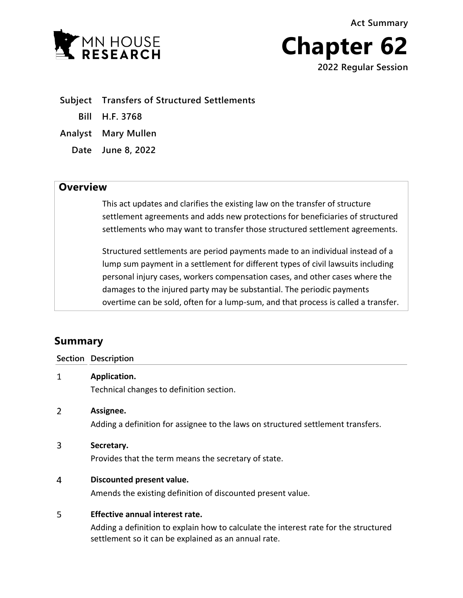**Act Summary**





**Subject Transfers of Structured Settlements**

**Bill H.F. 3768**

**Analyst Mary Mullen**

**Date June 8, 2022**

# **Overview**

This act updates and clarifies the existing law on the transfer of structure settlement agreements and adds new protections for beneficiaries of structured settlements who may want to transfer those structured settlement agreements.

Structured settlements are period payments made to an individual instead of a lump sum payment in a settlement for different types of civil lawsuits including personal injury cases, workers compensation cases, and other cases where the damages to the injured party may be substantial. The periodic payments overtime can be sold, often for a lump-sum, and that process is called a transfer.

# **Summary**

|   | <b>Section Description</b>                                                       |
|---|----------------------------------------------------------------------------------|
| 1 | Application.                                                                     |
|   | Technical changes to definition section.                                         |
| 2 | Assignee.                                                                        |
|   | Adding a definition for assignee to the laws on structured settlement transfers. |
| 3 | Secretary.                                                                       |
|   | Provides that the term means the secretary of state.                             |
| 4 | Discounted present value.                                                        |
|   | Amends the existing definition of discounted present value.                      |
| 5 | Effective annual interest rate.                                                  |
|   |                                                                                  |

Adding a definition to explain how to calculate the interest rate for the structured settlement so it can be explained as an annual rate.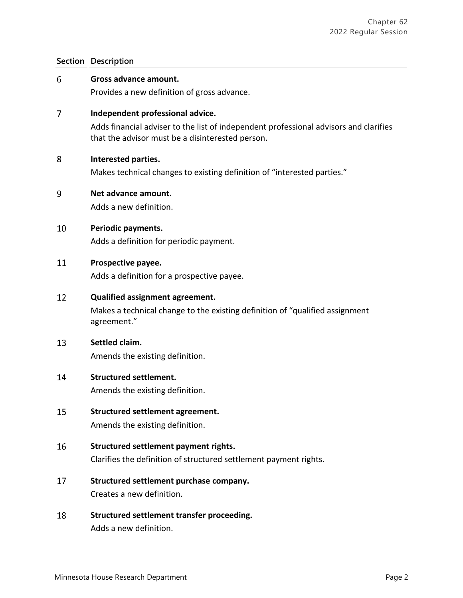## **Section Description**

#### 6 **Gross advance amount.**

Provides a new definition of gross advance.

#### $\overline{7}$ **Independent professional advice.**

Adds financial adviser to the list of independent professional advisors and clarifies that the advisor must be a disinterested person.

#### 8 **Interested parties.**

Makes technical changes to existing definition of "interested parties."

#### 9 **Net advance amount.**

Adds a new definition.

#### 10 **Periodic payments.**

Adds a definition for periodic payment.

#### 11 **Prospective payee.**

Adds a definition for a prospective payee.

#### 12 **Qualified assignment agreement.**

Makes a technical change to the existing definition of "qualified assignment agreement."

#### 13 **Settled claim.**

Amends the existing definition.

#### 14 **Structured settlement.**

Amends the existing definition.

- 15 **Structured settlement agreement.** Amends the existing definition.
- 16 **Structured settlement payment rights.** Clarifies the definition of structured settlement payment rights.
- 17 **Structured settlement purchase company.** Creates a new definition.
- 18 **Structured settlement transfer proceeding.** Adds a new definition.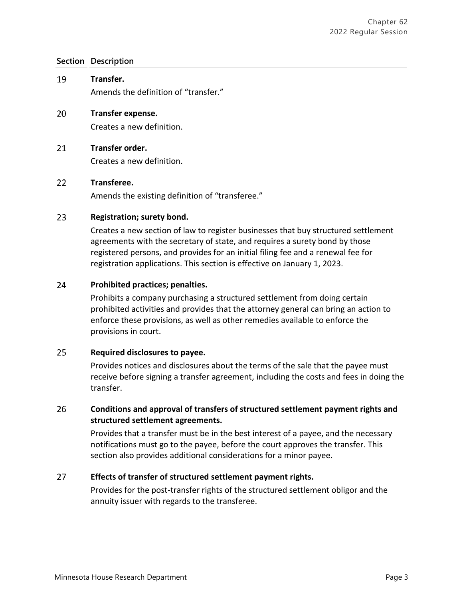## **Section Description**

- 19 **Transfer.** Amends the definition of "transfer."
- 20 **Transfer expense.** Creates a new definition.

#### 21 **Transfer order.**

Creates a new definition.

#### 22 **Transferee.**

Amends the existing definition of "transferee."

#### 23 **Registration; surety bond.**

Creates a new section of law to register businesses that buy structured settlement agreements with the secretary of state, and requires a surety bond by those registered persons, and provides for an initial filing fee and a renewal fee for registration applications. This section is effective on January 1, 2023.

#### 24 **Prohibited practices; penalties.**

Prohibits a company purchasing a structured settlement from doing certain prohibited activities and provides that the attorney general can bring an action to enforce these provisions, as well as other remedies available to enforce the provisions in court.

#### 25 **Required disclosures to payee.**

Provides notices and disclosures about the terms of the sale that the payee must receive before signing a transfer agreement, including the costs and fees in doing the transfer.

### 26 **Conditions and approval of transfers of structured settlement payment rights and structured settlement agreements.**

Provides that a transfer must be in the best interest of a payee, and the necessary notifications must go to the payee, before the court approves the transfer. This section also provides additional considerations for a minor payee.

#### 27 **Effects of transfer of structured settlement payment rights.**

Provides for the post-transfer rights of the structured settlement obligor and the annuity issuer with regards to the transferee.